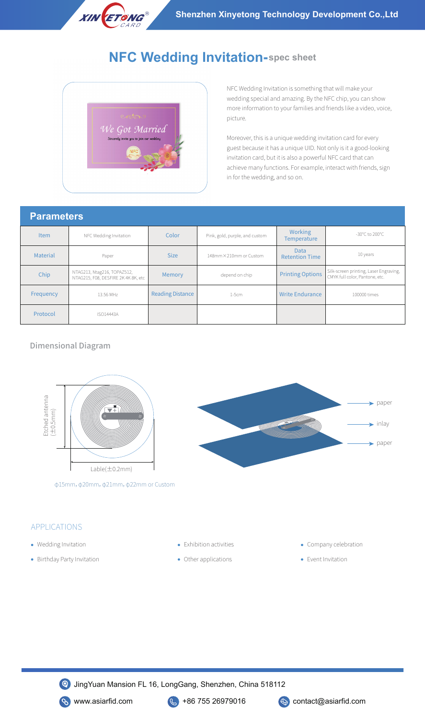

# **NFC Wedding Invitation-spec sheet**



NFC Wedding Invitation is something that will make your wedding special and amazing. By the NFC chip, you can show more information to your families and friends like a video, voice, picture.

Moreover, this is a unique wedding invitation card for every guest because it has a unique UID. Not only is it a good-looking invitation card, but it is also a powerful NFC card that can achieve many functions. For example, interact with friends, sign in for the wedding, and so on.

#### **Parameters**

| <u>GLAND COLO</u> |                                                                    |                         |                                |                                      |                                                                          |
|-------------------|--------------------------------------------------------------------|-------------------------|--------------------------------|--------------------------------------|--------------------------------------------------------------------------|
| <b>Item</b>       | NFC Wedding Invitation                                             | Color                   | Pink, gold, purple, and custom | Working<br><b>Temperature</b>        | -30°C to 200°C                                                           |
| Material          | Paper                                                              | <b>Size</b>             | 148mm×210mm or Custom          | <b>Data</b><br><b>Retention Time</b> | 10 years                                                                 |
| Chip              | NTAG213, Ntag216, TOPAZ512,<br>NTAG215, F08, DESFIRE 2K 4K 8K, etc | <b>Memory</b>           | depend on chip                 | <b>Printing Options</b>              | Silk-screen printing, Laser Engraving,<br>CMYK full color, Pantone, etc. |
| Frequency         | 13.56 MHz                                                          | <b>Reading Distance</b> | $1-5cm$                        | <b>Write Endurance</b>               | 100000 times                                                             |
| Protocol          | <b>ISO14443A</b>                                                   |                         |                                |                                      |                                                                          |

#### Dimensional Diagram



φ15mm,φ20mm,φ21mm,φ22mm or Custom



## APPLICATIONS

- Wedding Invitation
- Birthday Party Invitation
- Exhibition activities
- Other applications
- Company celebration
- Event Invitation



**S** www.asiarfid.com **C** +86 755 26979016 **C** contact@asiarfid.com